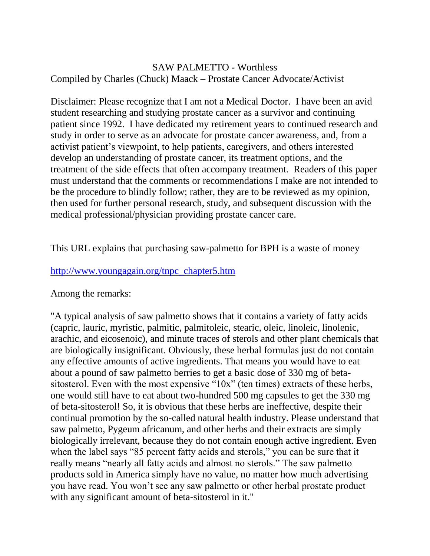## SAW PALMETTO - Worthless Compiled by Charles (Chuck) Maack – Prostate Cancer Advocate/Activist

Disclaimer: Please recognize that I am not a Medical Doctor. I have been an avid student researching and studying prostate cancer as a survivor and continuing patient since 1992. I have dedicated my retirement years to continued research and study in order to serve as an advocate for prostate cancer awareness, and, from a activist patient's viewpoint, to help patients, caregivers, and others interested develop an understanding of prostate cancer, its treatment options, and the treatment of the side effects that often accompany treatment. Readers of this paper must understand that the comments or recommendations I make are not intended to be the procedure to blindly follow; rather, they are to be reviewed as my opinion, then used for further personal research, study, and subsequent discussion with the medical professional/physician providing prostate cancer care.

This URL explains that purchasing saw-palmetto for BPH is a waste of money

## [http://www.youngagain.org/tnpc\\_chapter5.htm](http://www.youngagain.org/tnpc_chapter5.htm)

Among the remarks:

"A typical analysis of saw palmetto shows that it contains a variety of fatty acids (capric, lauric, myristic, palmitic, palmitoleic, stearic, oleic, linoleic, linolenic, arachic, and eicosenoic), and minute traces of sterols and other plant chemicals that are biologically insignificant. Obviously, these herbal formulas just do not contain any effective amounts of active ingredients. That means you would have to eat about a pound of saw palmetto berries to get a basic dose of 330 mg of betasitosterol. Even with the most expensive "10x" (ten times) extracts of these herbs, one would still have to eat about two-hundred 500 mg capsules to get the 330 mg of beta-sitosterol! So, it is obvious that these herbs are ineffective, despite their continual promotion by the so-called natural health industry. Please understand that saw palmetto, Pygeum africanum, and other herbs and their extracts are simply biologically irrelevant, because they do not contain enough active ingredient. Even when the label says "85 percent fatty acids and sterols," you can be sure that it really means "nearly all fatty acids and almost no sterols." The saw palmetto products sold in America simply have no value, no matter how much advertising you have read. You won't see any saw palmetto or other herbal prostate product with any significant amount of beta-sitosterol in it."